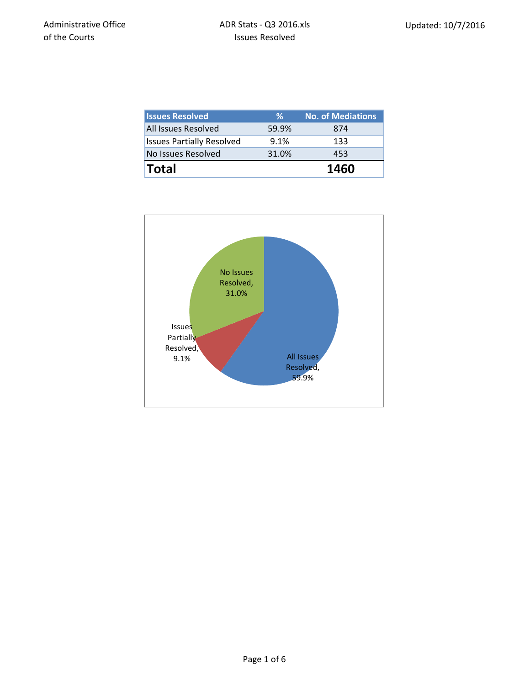| <b>Issues Resolved</b>           | ℅     | <b>No. of Mediations</b> |
|----------------------------------|-------|--------------------------|
| <b>All Issues Resolved</b>       | 59.9% | 874                      |
| <b>Issues Partially Resolved</b> | 9.1%  | 133                      |
| No Issues Resolved               | 31.0% | 453                      |
| <b>Total</b>                     |       | 1460                     |

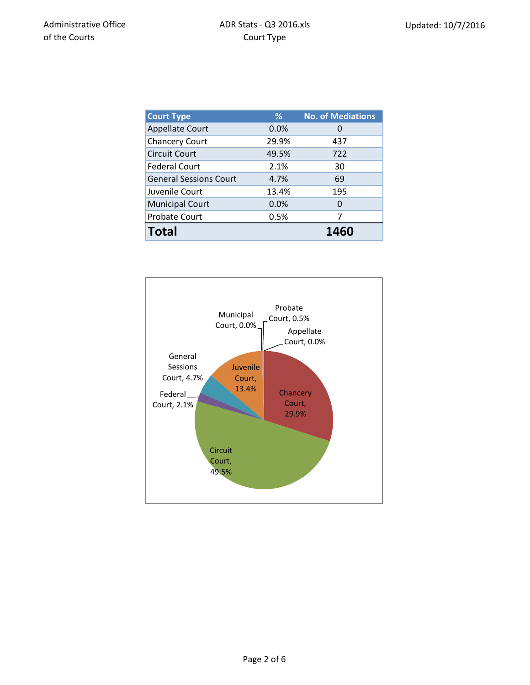| <b>Court Type</b>             | %     | <b>No. of Mediations</b> |
|-------------------------------|-------|--------------------------|
| <b>Appellate Court</b>        | 0.0%  | $\mathbf{O}$             |
| <b>Chancery Court</b>         | 29.9% | 437                      |
| <b>Circuit Court</b>          | 49.5% | 722                      |
| <b>Federal Court</b>          | 2.1%  | 30                       |
| <b>General Sessions Court</b> | 4.7%  | 69                       |
| Juvenile Court                | 13.4% | 195                      |
| <b>Municipal Court</b>        | 0.0%  | 0                        |
| Probate Court                 | 0.5%  | 7                        |
| <b>Total</b>                  |       | 1460                     |

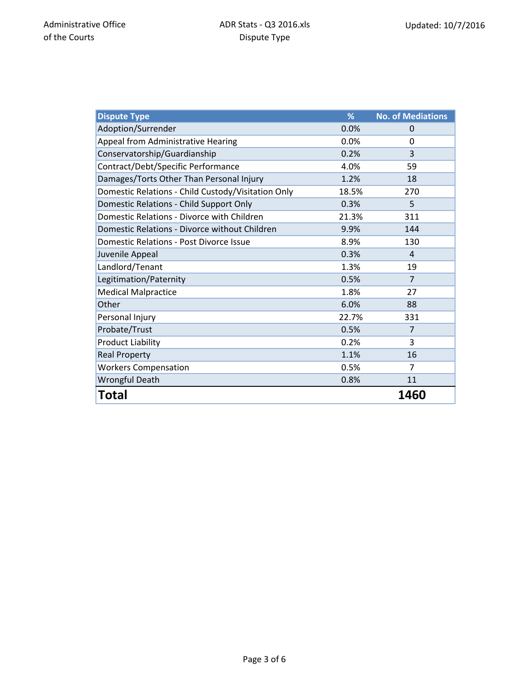| <b>Dispute Type</b>                                | %     | <b>No. of Mediations</b> |
|----------------------------------------------------|-------|--------------------------|
| Adoption/Surrender                                 | 0.0%  | 0                        |
| Appeal from Administrative Hearing                 | 0.0%  | $\Omega$                 |
| Conservatorship/Guardianship                       | 0.2%  | 3                        |
| Contract/Debt/Specific Performance                 | 4.0%  | 59                       |
| Damages/Torts Other Than Personal Injury           | 1.2%  | 18                       |
| Domestic Relations - Child Custody/Visitation Only | 18.5% | 270                      |
| Domestic Relations - Child Support Only            | 0.3%  | 5                        |
| Domestic Relations - Divorce with Children         | 21.3% | 311                      |
| Domestic Relations - Divorce without Children      | 9.9%  | 144                      |
| Domestic Relations - Post Divorce Issue            | 8.9%  | 130                      |
| Juvenile Appeal                                    | 0.3%  | $\overline{4}$           |
| Landlord/Tenant                                    | 1.3%  | 19                       |
| Legitimation/Paternity                             | 0.5%  | 7                        |
| <b>Medical Malpractice</b>                         | 1.8%  | 27                       |
| Other                                              | 6.0%  | 88                       |
| Personal Injury                                    | 22.7% | 331                      |
| Probate/Trust                                      | 0.5%  | 7                        |
| <b>Product Liability</b>                           | 0.2%  | 3                        |
| <b>Real Property</b>                               | 1.1%  | 16                       |
| <b>Workers Compensation</b>                        | 0.5%  | 7                        |
| <b>Wrongful Death</b>                              | 0.8%  | 11                       |
| Total                                              |       | 1460                     |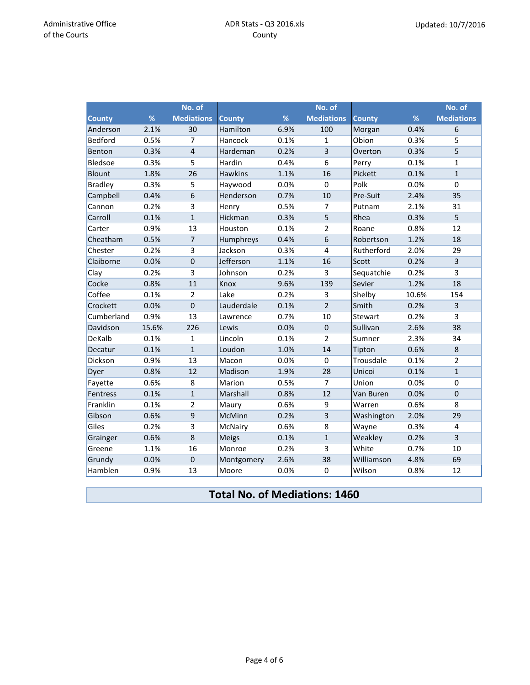|                |       | No. of            |                |      | No. of                  |               |       | No. of            |
|----------------|-------|-------------------|----------------|------|-------------------------|---------------|-------|-------------------|
| <b>County</b>  | %     | <b>Mediations</b> | <b>County</b>  | %    | <b>Mediations</b>       | <b>County</b> | %     | <b>Mediations</b> |
| Anderson       | 2.1%  | 30                | Hamilton       | 6.9% | 100                     | Morgan        | 0.4%  | 6                 |
| Bedford        | 0.5%  | $\overline{7}$    | Hancock        | 0.1% | $\mathbf{1}$            | Obion         | 0.3%  | 5                 |
| Benton         | 0.3%  | $\overline{4}$    | Hardeman       | 0.2% | 3                       | Overton       | 0.3%  | 5                 |
| Bledsoe        | 0.3%  | 5                 | Hardin         | 0.4% | 6                       | Perry         | 0.1%  | $\mathbf{1}$      |
| <b>Blount</b>  | 1.8%  | 26                | <b>Hawkins</b> | 1.1% | 16                      | Pickett       | 0.1%  | $\mathbf{1}$      |
| <b>Bradley</b> | 0.3%  | 5                 | Haywood        | 0.0% | $\mathbf 0$             | Polk          | 0.0%  | $\mathbf 0$       |
| Campbell       | 0.4%  | 6                 | Henderson      | 0.7% | 10                      | Pre-Suit      | 2.4%  | 35                |
| Cannon         | 0.2%  | 3                 | Henry          | 0.5% | 7                       | Putnam        | 2.1%  | 31                |
| Carroll        | 0.1%  | $\mathbf{1}$      | Hickman        | 0.3% | 5                       | Rhea          | 0.3%  | 5                 |
| Carter         | 0.9%  | 13                | Houston        | 0.1% | $\overline{2}$          | Roane         | 0.8%  | 12                |
| Cheatham       | 0.5%  | $\overline{7}$    | Humphreys      | 0.4% | 6                       | Robertson     | 1.2%  | 18                |
| Chester        | 0.2%  | 3                 | Jackson        | 0.3% | $\overline{\mathbf{4}}$ | Rutherford    | 2.0%  | 29                |
| Claiborne      | 0.0%  | $\overline{0}$    | Jefferson      | 1.1% | 16                      | Scott         | 0.2%  | $\overline{3}$    |
| Clay           | 0.2%  | 3                 | Johnson        | 0.2% | 3                       | Sequatchie    | 0.2%  | 3                 |
| Cocke          | 0.8%  | 11                | Knox           | 9.6% | 139                     | Sevier        | 1.2%  | 18                |
| Coffee         | 0.1%  | $\overline{2}$    | Lake           | 0.2% | 3                       | Shelby        | 10.6% | 154               |
| Crockett       | 0.0%  | $\mathbf 0$       | Lauderdale     | 0.1% | $\overline{2}$          | Smith         | 0.2%  | 3                 |
| Cumberland     | 0.9%  | 13                | Lawrence       | 0.7% | 10                      | Stewart       | 0.2%  | 3                 |
| Davidson       | 15.6% | 226               | Lewis          | 0.0% | $\boldsymbol{0}$        | Sullivan      | 2.6%  | 38                |
| DeKalb         | 0.1%  | $\mathbf{1}$      | Lincoln        | 0.1% | $\overline{2}$          | Sumner        | 2.3%  | 34                |
| Decatur        | 0.1%  | $\mathbf 1$       | Loudon         | 1.0% | 14                      | Tipton        | 0.6%  | $\bf 8$           |
| Dickson        | 0.9%  | 13                | Macon          | 0.0% | $\mathbf 0$             | Trousdale     | 0.1%  | $\overline{2}$    |
| Dyer           | 0.8%  | 12                | Madison        | 1.9% | 28                      | Unicoi        | 0.1%  | $\overline{1}$    |
| Fayette        | 0.6%  | 8                 | Marion         | 0.5% | $\overline{7}$          | Union         | 0.0%  | $\pmb{0}$         |
| Fentress       | 0.1%  | $\mathbf{1}$      | Marshall       | 0.8% | 12                      | Van Buren     | 0.0%  | $\mathbf 0$       |
| Franklin       | 0.1%  | $\overline{2}$    | Maury          | 0.6% | 9                       | Warren        | 0.6%  | 8                 |
| Gibson         | 0.6%  | 9                 | McMinn         | 0.2% | $\overline{3}$          | Washington    | 2.0%  | 29                |
| Giles          | 0.2%  | 3                 | McNairy        | 0.6% | 8                       | Wayne         | 0.3%  | 4                 |
| Grainger       | 0.6%  | 8                 | <b>Meigs</b>   | 0.1% | $\mathbf{1}$            | Weakley       | 0.2%  | $\overline{3}$    |
| Greene         | 1.1%  | 16                | Monroe         | 0.2% | 3                       | White         | 0.7%  | 10                |
| Grundy         | 0.0%  | $\mathbf 0$       | Montgomery     | 2.6% | 38                      | Williamson    | 4.8%  | 69                |
| Hamblen        | 0.9%  | 13                | Moore          | 0.0% | $\mathbf 0$             | Wilson        | 0.8%  | 12                |

## **Total No. of Mediations: 1460**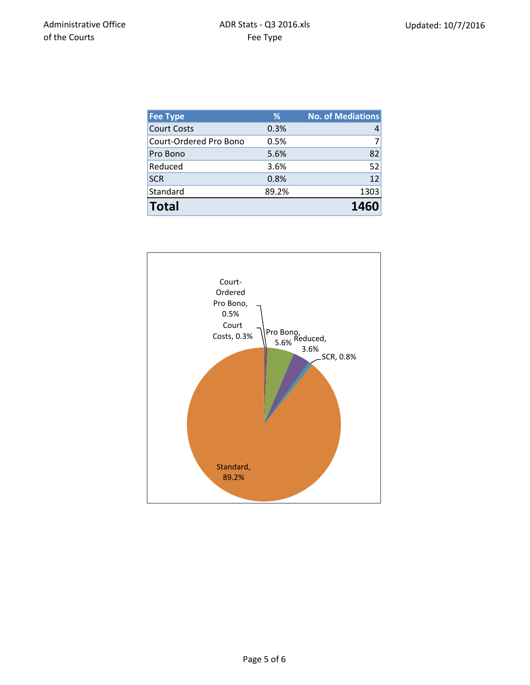| <b>Fee Type</b>        | %     | <b>No. of Mediations</b> |
|------------------------|-------|--------------------------|
| <b>Court Costs</b>     | 0.3%  |                          |
| Court-Ordered Pro Bono | 0.5%  |                          |
| Pro Bono               | 5.6%  | 82                       |
| Reduced                | 3.6%  | 52                       |
| <b>SCR</b>             | 0.8%  | 12                       |
| Standard               | 89.2% | 1303                     |
| <b>Total</b>           |       | 1460                     |